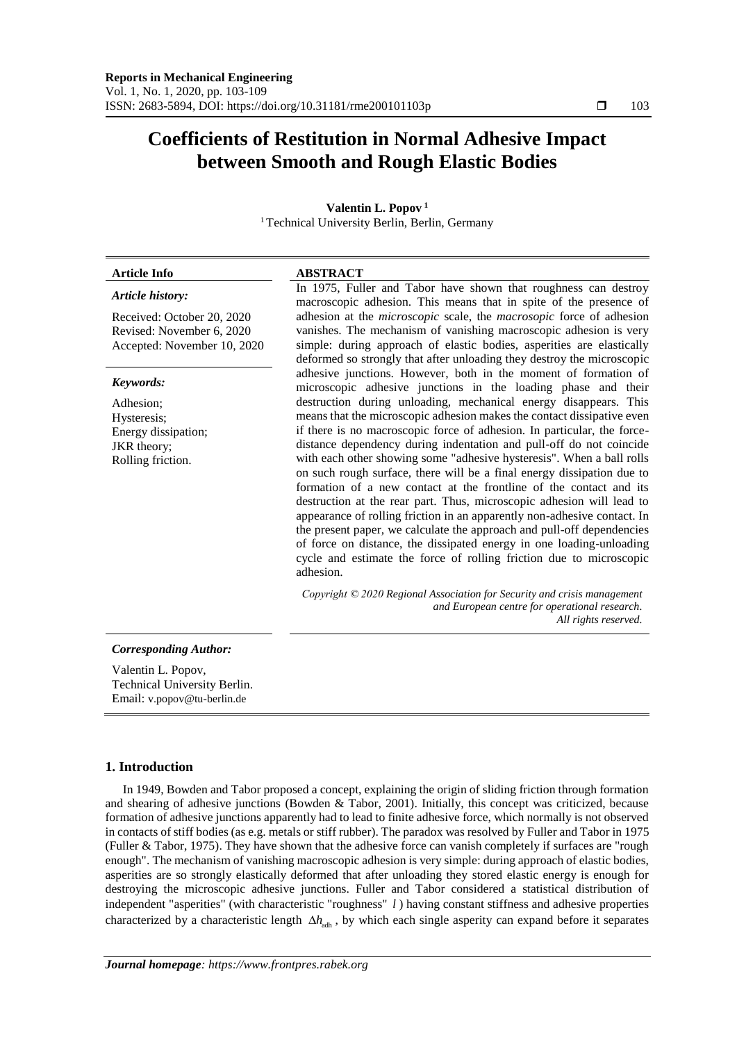# **Coefficients of Restitution in Normal Adhesive Impact between Smooth and Rough Elastic Bodies**

**Valentin L. Popov <sup>1</sup>**

| <b>Article Info</b>                                                                    | <b>ABSTRACT</b>                                                                                                                                                                                                                                                                                                                                                                                                                                                                                                                                                                                                                                                                                                                                                                                                                                                                                                                                                                                                                                                                                                                                                                                                                                                                                                                                                                                                                                                                                           |
|----------------------------------------------------------------------------------------|-----------------------------------------------------------------------------------------------------------------------------------------------------------------------------------------------------------------------------------------------------------------------------------------------------------------------------------------------------------------------------------------------------------------------------------------------------------------------------------------------------------------------------------------------------------------------------------------------------------------------------------------------------------------------------------------------------------------------------------------------------------------------------------------------------------------------------------------------------------------------------------------------------------------------------------------------------------------------------------------------------------------------------------------------------------------------------------------------------------------------------------------------------------------------------------------------------------------------------------------------------------------------------------------------------------------------------------------------------------------------------------------------------------------------------------------------------------------------------------------------------------|
| Article history:                                                                       | In 1975, Fuller and Tabor have shown that roughness can destroy<br>macroscopic adhesion. This means that in spite of the presence of<br>adhesion at the <i>microscopic</i> scale, the <i>macrosopic</i> force of adhesion<br>vanishes. The mechanism of vanishing macroscopic adhesion is very<br>simple: during approach of elastic bodies, asperities are elastically<br>deformed so strongly that after unloading they destroy the microscopic<br>adhesive junctions. However, both in the moment of formation of<br>microscopic adhesive junctions in the loading phase and their<br>destruction during unloading, mechanical energy disappears. This<br>means that the microscopic adhesion makes the contact dissipative even<br>if there is no macroscopic force of adhesion. In particular, the force-<br>distance dependency during indentation and pull-off do not coincide<br>with each other showing some "adhesive hysteresis". When a ball rolls<br>on such rough surface, there will be a final energy dissipation due to<br>formation of a new contact at the frontline of the contact and its<br>destruction at the rear part. Thus, microscopic adhesion will lead to<br>appearance of rolling friction in an apparently non-adhesive contact. In<br>the present paper, we calculate the approach and pull-off dependencies<br>of force on distance, the dissipated energy in one loading-unloading<br>cycle and estimate the force of rolling friction due to microscopic<br>adhesion. |
| Received: October 20, 2020<br>Revised: November 6, 2020<br>Accepted: November 10, 2020 |                                                                                                                                                                                                                                                                                                                                                                                                                                                                                                                                                                                                                                                                                                                                                                                                                                                                                                                                                                                                                                                                                                                                                                                                                                                                                                                                                                                                                                                                                                           |
| Keywords:                                                                              |                                                                                                                                                                                                                                                                                                                                                                                                                                                                                                                                                                                                                                                                                                                                                                                                                                                                                                                                                                                                                                                                                                                                                                                                                                                                                                                                                                                                                                                                                                           |
| Adhesion;<br>Hysteresis;<br>Energy dissipation;<br>JKR theory;<br>Rolling friction.    |                                                                                                                                                                                                                                                                                                                                                                                                                                                                                                                                                                                                                                                                                                                                                                                                                                                                                                                                                                                                                                                                                                                                                                                                                                                                                                                                                                                                                                                                                                           |
|                                                                                        | Copyright © 2020 Regional Association for Security and crisis management<br>and European centre for operational research.<br>All rights reserved.                                                                                                                                                                                                                                                                                                                                                                                                                                                                                                                                                                                                                                                                                                                                                                                                                                                                                                                                                                                                                                                                                                                                                                                                                                                                                                                                                         |

Valentin L. Popov, Technical University Berlin. Email: v.popov@tu-berlin.de

# **1. Introduction**

In 1949, Bowden and Tabor proposed a concept, explaining the origin of sliding friction through formation and shearing of adhesive junctions (Bowden & Tabor, 2001). Initially, this concept was criticized, because formation of adhesive junctions apparently had to lead to finite adhesive force, which normally is not observed in contacts of stiff bodies (as e.g. metals or stiff rubber). The paradox was resolved by Fuller and Tabor in 1975 (Fuller & Tabor, 1975). They have shown that the adhesive force can vanish completely if surfaces are "rough enough". The mechanism of vanishing macroscopic adhesion is very simple: during approach of elastic bodies, asperities are so strongly elastically deformed that after unloading they stored elastic energy is enough for destroying the microscopic adhesive junctions. Fuller and Tabor considered a statistical distribution of independent "asperities" (with characteristic "roughness" *l* ) having constant stiffness and adhesive properties characterized by a characteristic length  $\Delta h_{\text{adh}}$ , by which each single asperity can expand before it separates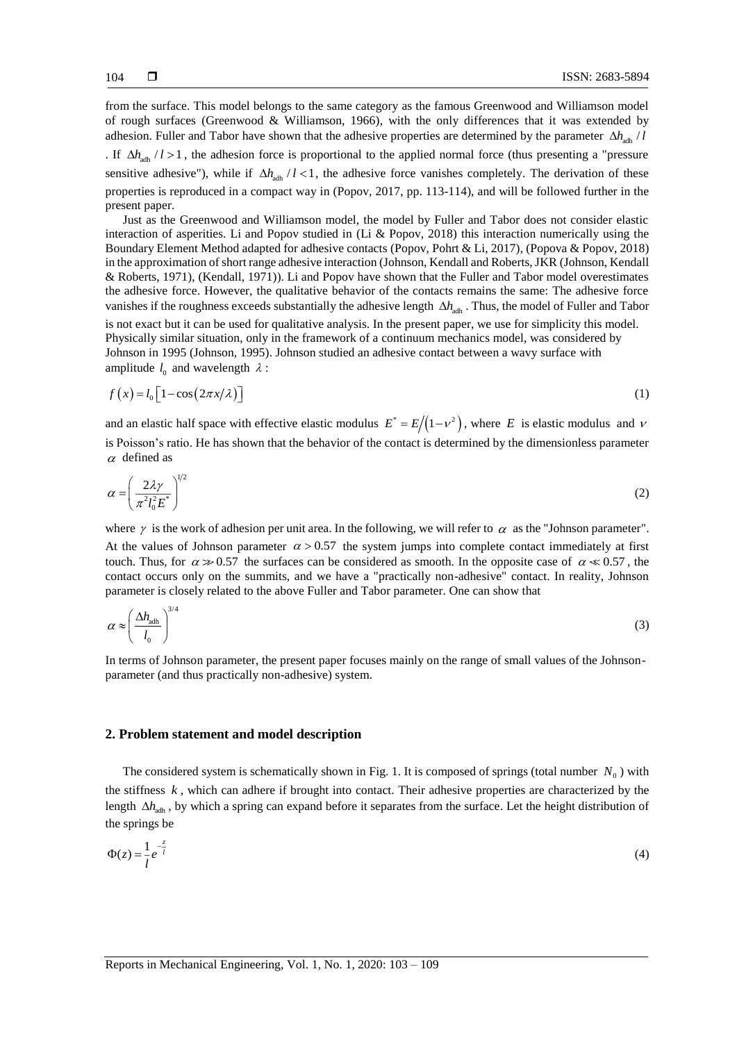from the surface. This model belongs to the same category as the famous Greenwood and Williamson model of rough surfaces (Greenwood & Williamson, 1966), with the only differences that it was extended by adhesion. Fuller and Tabor have shown that the adhesive properties are determined by the parameter  $\Delta h_{\text{adh}}/l$ 

. If  $\Delta h_{\text{adh}}$  / l > 1, the adhesion force is proportional to the applied normal force (thus presenting a "pressure sensitive adhesive"), while if  $\Delta h$ <sub>adh</sub> / l < 1, the adhesive force vanishes completely. The derivation of these properties is reproduced in a compact way in (Popov, 2017, pp. 113-114), and will be followed further in the present paper.

Just as the Greenwood and Williamson model, the model by Fuller and Tabor does not consider elastic interaction of asperities. Li and Popov studied in (Li & Popov, 2018) this interaction numerically using the Boundary Element Method adapted for adhesive contacts (Popov, Pohrt & Li, 2017), (Popova & Popov, 2018) in the approximation of short range adhesive interaction (Johnson, Kendall and Roberts, JKR (Johnson, Kendall & Roberts, 1971), (Kendall, 1971)). Li and Popov have shown that the Fuller and Tabor model overestimates the adhesive force. However, the qualitative behavior of the contacts remains the same: The adhesive force vanishes if the roughness exceeds substantially the adhesive length  $\Delta h_{\text{adh}}$ . Thus, the model of Fuller and Tabor is not exact but it can be used for qualitative analysis. In the present paper, we use for simplicity this model. Physically similar situation, only in the framework of a continuum mechanics model, was considered by Johnson in 1995 (Johnson, 1995). Johnson studied an adhesive contact between a wavy surface with amplitude  $l_0$  and wavelength  $\lambda$  :

$$
f(x) = l_0 \left[ 1 - \cos(2\pi x/\lambda) \right] \tag{1}
$$

and an elastic half space with effective elastic modulus  $E^* = E/(1 - v^2)$ , where E is elastic modulus and  $v$ is Poisson's ratio. He has shown that the behavior of the contact is determined by the dimensionless parameter  $\alpha$  defined as

$$
\alpha = \left(\frac{2\lambda\gamma}{\pi^2 l_0^2 E^*}\right)^{1/2} \tag{2}
$$

where  $\gamma$  is the work of adhesion per unit area. In the following, we will refer to  $\alpha$  as the "Johnson parameter". At the values of Johnson parameter  $\alpha > 0.57$  the system jumps into complete contact immediately at first touch. Thus, for  $\alpha \gg 0.57$  the surfaces can be considered as smooth. In the opposite case of  $\alpha \ll 0.57$ , the contact occurs only on the summits, and we have a "practically non-adhesive" contact. In reality, Johnson parameter is closely related to the above Fuller and Tabor parameter. One can show that

$$
\alpha \approx \left(\frac{\Delta h_{\text{adh}}}{l_0}\right)^{3/4} \tag{3}
$$

In terms of Johnson parameter, the present paper focuses mainly on the range of small values of the Johnsonparameter (and thus practically non-adhesive) system.

#### **2. Problem statement and model description**

The considered system is schematically shown in Fig. 1. It is composed of springs (total number  $N_0$ ) with the stiffness  $k$ , which can adhere if brought into contact. Their adhesive properties are characterized by the length  $\Delta h_{\text{adh}}$ , by which a spring can expand before it separates from the surface. Let the height distribution of the springs be

$$
\Phi(z) = \frac{1}{l} e^{-\frac{z}{l}}
$$
 (4)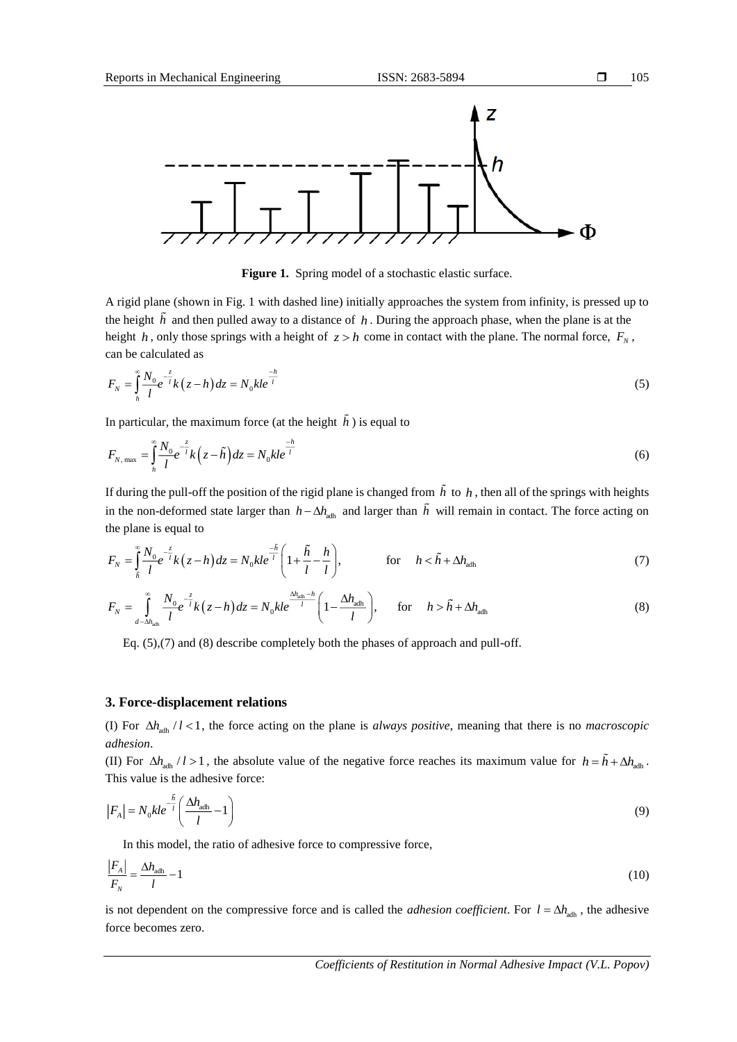

Figure 1. Spring model of a stochastic elastic surface.

A rigid plane (shown in Fig. 1 with dashed line) initially approaches the system from infinity, is pressed up to the height *h* and then pulled away to a distance of *h* . During the approach phase, when the plane is at the height *h*, only those springs with a height of  $z > h$  come in contact with the plane. The normal force,  $F_N$ , can be calculated as

$$
F_N = \int_{h}^{\infty} \frac{N_0}{l} e^{-\frac{z}{l}} k(z - h) dz = N_0 k l e^{-\frac{h}{l}}
$$
(5)

In particular, the maximum force (at the height *h* ) is equal to

$$
F_{N, \max} = \int_{h}^{\infty} \frac{N_0}{l} e^{-\frac{z}{l}} k \left( z - \tilde{h} \right) dz = N_0 k l e^{-\frac{h}{l}}
$$
(6)

If during the pull-off the position of the rigid plane is changed from  $h$  to  $h$ , then all of the springs with heights in the non-deformed state larger than  $h - \Delta h$ <sub>adh</sub> and larger than h will remain in contact. The force acting on the plane is equal to

$$
F_N = \int_{\tilde{h}}^{\infty} \frac{N_0}{l} e^{-\tilde{t}} k(z - h) dz = N_0 k l e^{-\tilde{t}} \left( 1 + \frac{\tilde{h}}{l} - \frac{h}{l} \right), \qquad \text{for} \qquad h < \tilde{h} + \Delta h_{\text{adh}} \tag{7}
$$

$$
F_N = \int_{d-\Delta h_{\text{adh}}}\sum_{l}^{\infty} \frac{N_0}{l} e^{-\frac{z}{l}} k(z-h) dz = N_0 k l e^{\frac{\Delta h_{\text{adh}} - h}{l}} \left(1 - \frac{\Delta h_{\text{adh}}}{l}\right), \quad \text{for} \quad h > \tilde{h} + \Delta h_{\text{adh}} \tag{8}
$$

Eq. (5),(7) and (8) describe completely both the phases of approach and pull-off.

### **3. Force-displacement relations**

(I) For  $\Delta h_{\text{adh}}/l < 1$ , the force acting on the plane is *always positive*, meaning that there is no *macroscopic adhesion*.

(II) For  $\Delta h_{\text{adh}}$  / l > 1, the absolute value of the negative force reaches its maximum value for  $h = h + \Delta h_{\text{adh}}$ . This value is the adhesive force:

$$
|F_A| = N_0 k l e^{-\frac{\tilde{h}}{l}} \left( \frac{\Delta h_{\text{adh}}}{l} - 1 \right)
$$
 (9)

In this model, the ratio of adhesive force to compressive force,

$$
\frac{|F_A|}{F_N} = \frac{\Delta h_{\text{adh}}}{l} - 1\tag{10}
$$

is not dependent on the compressive force and is called the *adhesion coefficient*. For  $l = \Delta h_{\text{adh}}$ , the adhesive force becomes zero.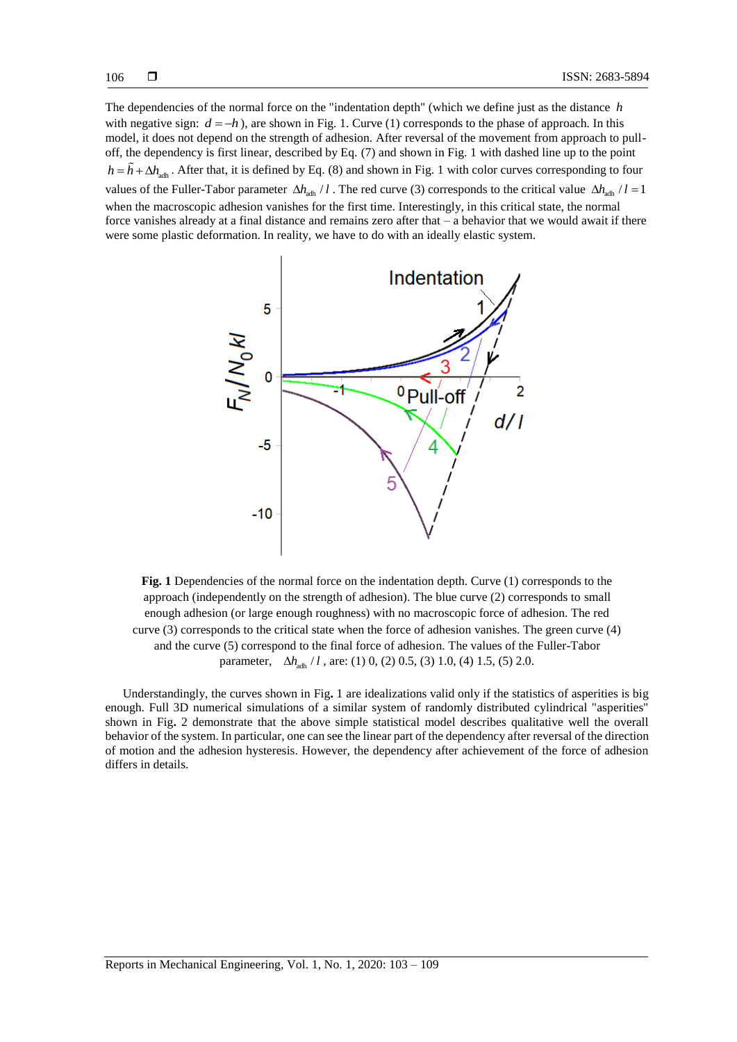The dependencies of the normal force on the "indentation depth" (which we define just as the distance *h* with negative sign:  $d = -h$ ), are shown in [Fig. 1.](#page-3-0) Curve (1) corresponds to the phase of approach. In this model, it does not depend on the strength of adhesion. After reversal of the movement from approach to pulloff, the dependency is first linear, described by Eq. (7) and shown i[n Fig. 1](#page-3-0) with dashed line up to the point  $h = h + \Delta h_{\text{adh}}$ . After that, it is defined by Eq. (8) and shown in [Fig. 1](#page-3-0) with color curves corresponding to four values of the Fuller-Tabor parameter  $\Delta h$ <sub>adh</sub> *l* . The red curve (3) corresponds to the critical value  $\Delta h$ <sub>adh</sub> *l* l = 1 when the macroscopic adhesion vanishes for the first time. Interestingly, in this critical state, the normal force vanishes already at a final distance and remains zero after that – a behavior that we would await if there were some plastic deformation. In reality, we have to do with an ideally elastic system.



<span id="page-3-0"></span>**Fig. 1** Dependencies of the normal force on the indentation depth. Curve (1) corresponds to the approach (independently on the strength of adhesion). The blue curve (2) corresponds to small enough adhesion (or large enough roughness) with no macroscopic force of adhesion. The red curve (3) corresponds to the critical state when the force of adhesion vanishes. The green curve (4) and the curve (5) correspond to the final force of adhesion. The values of the Fuller-Tabor parameter,  $\Delta h_{\text{adh}}$  / l, are: (1) 0, (2) 0.5, (3) 1.0, (4) 1.5, (5) 2.0.

Understandingly, the curves shown in [Fig](#page-3-0)**.** 1 are idealizations valid only if the statistics of asperities is big enough. Full 3D numerical simulations of a similar system of randomly distributed cylindrical "asperities" shown in [Fig](#page-4-0)**.** 2 demonstrate that the above simple statistical model describes qualitative well the overall behavior of the system. In particular, one can see the linear part of the dependency after reversal of the direction of motion and the adhesion hysteresis. However, the dependency after achievement of the force of adhesion differs in details.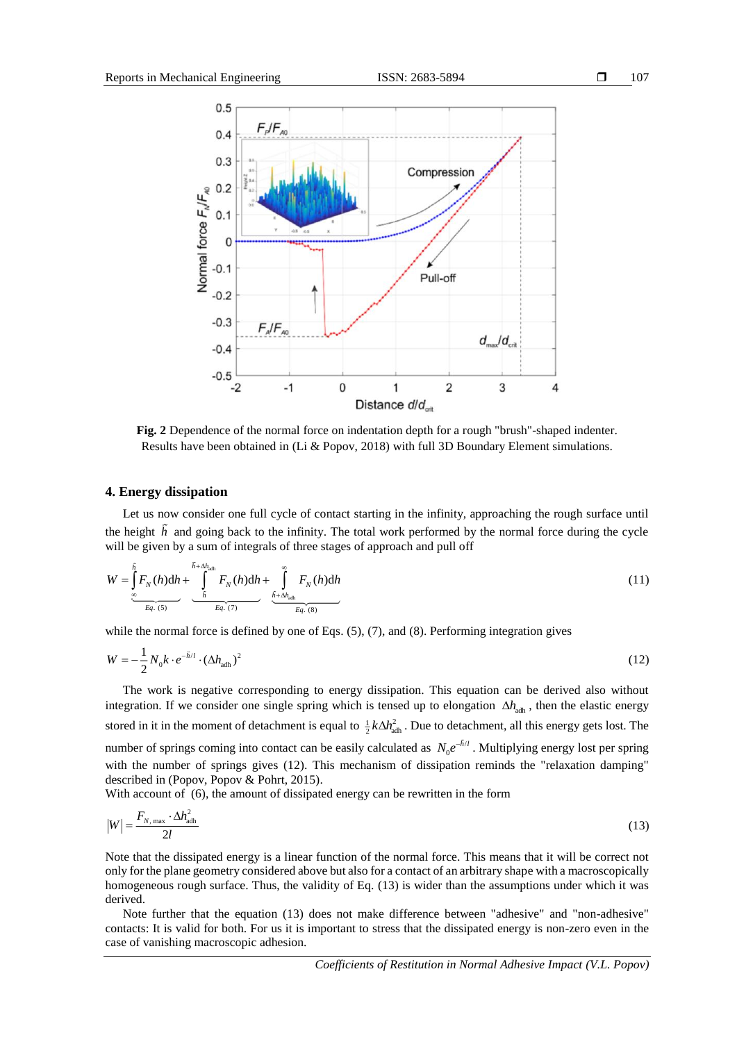

<span id="page-4-0"></span>**Fig. 2** Dependence of the normal force on indentation depth for a rough "brush"-shaped indenter. Results have been obtained in (Li & Popov, 2018) with full 3D Boundary Element simulations.

### **4. Energy dissipation**

Let us now consider one full cycle of contact starting in the infinity, approaching the rough surface until the height *h* and going back to the infinity. The total work performed by the normal force during the cycle

will be given by a sum of integrals of three stages of approach and pull off\n
$$
W = \int_{\infty}^{\tilde{h}} F_N(h) dh + \int_{\frac{\infty}{k}}^{\tilde{h} + \Delta h_{\text{dch}}} F_N(h) dh + \int_{\frac{\tilde{h} + \Delta h_{\text{dch}}}{k} \Delta h_{\text{dch}}}^{\infty} F_N(h) dh
$$
\n(11)

while the normal force is defined by one of Eqs.  $(5)$ ,  $(7)$ , and  $(8)$ . Performing integration gives

$$
W = -\frac{1}{2}N_0k \cdot e^{-\tilde{h}/l} \cdot (\Delta h_{\text{adh}})^2
$$
\n(12)

The work is negative corresponding to energy dissipation. This equation can be derived also without integration. If we consider one single spring which is tensed up to elongation  $\Delta h_{\text{adh}}$ , then the elastic energy stored in it in the moment of detachment is equal to  $\frac{1}{2}k\Delta h_{\text{adh}}^2$ . Due to detachment, all this energy gets lost. The number of springs coming into contact can be easily calculated as  $N_0 e^{-h/l}$ . Multiplying energy lost per spring with the number of springs gives (12). This mechanism of dissipation reminds the "relaxation damping" described in (Popov, Popov & Pohrt, 2015).

With account of (6), the amount of dissipated energy can be rewritten in the form

$$
|W| = \frac{F_{N, \text{max}} \cdot \Delta h_{\text{adh}}^2}{2l} \tag{13}
$$

Note that the dissipated energy is a linear function of the normal force. This means that it will be correct not only for the plane geometry considered above but also for a contact of an arbitrary shape with a macroscopically homogeneous rough surface. Thus, the validity of Eq. (13) is wider than the assumptions under which it was derived.

Note further that the equation (13) does not make difference between "adhesive" and "non-adhesive" contacts: It is valid for both. For us it is important to stress that the dissipated energy is non-zero even in the case of vanishing macroscopic adhesion.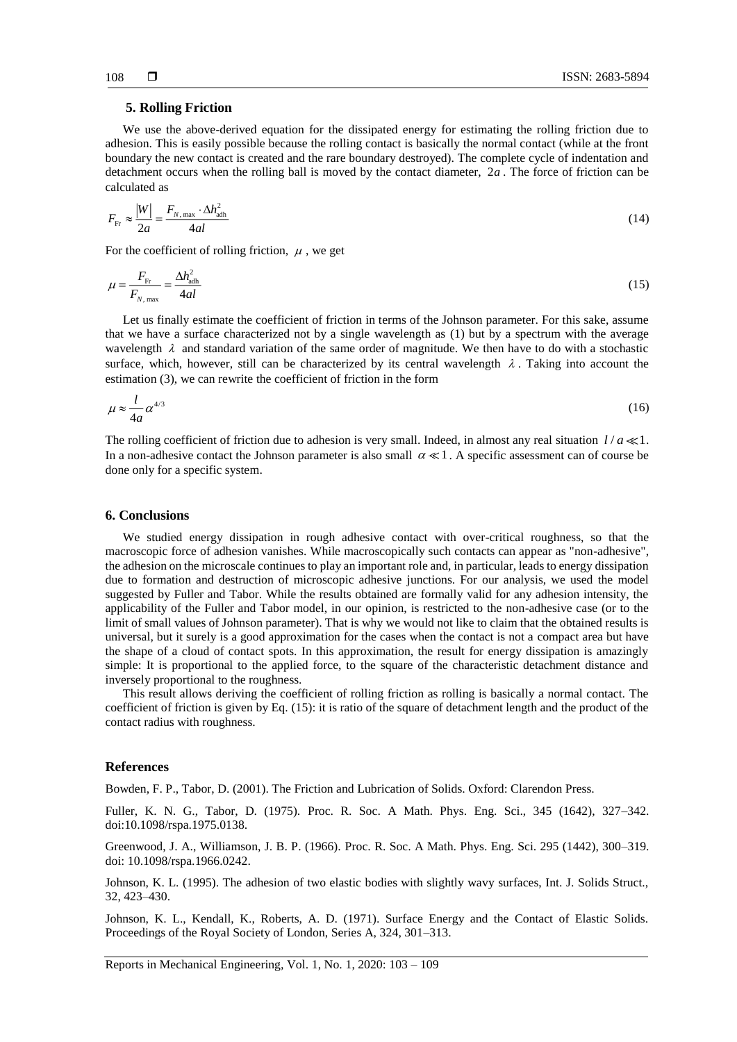## **5. Rolling Friction**

We use the above-derived equation for the dissipated energy for estimating the rolling friction due to adhesion. This is easily possible because the rolling contact is basically the normal contact (while at the front boundary the new contact is created and the rare boundary destroyed). The complete cycle of indentation and detachment occurs when the rolling ball is moved by the contact diameter, 2*<sup>a</sup>* . The force of friction can be calculated as

$$
F_{\rm Fr} \approx \frac{|W|}{2a} = \frac{F_{N, \text{max}} \cdot \Delta h_{\text{adh}}^2}{4al} \tag{14}
$$

For the coefficient of rolling friction,  $\mu$ , we get

$$
\mu = \frac{F_{\text{Fr}}}{F_{N,\text{max}}} = \frac{\Delta h_{\text{adh}}^2}{4al} \tag{15}
$$

Let us finally estimate the coefficient of friction in terms of the Johnson parameter. For this sake, assume that we have a surface characterized not by a single wavelength as (1) but by a spectrum with the average wavelength  $\lambda$  and standard variation of the same order of magnitude. We then have to do with a stochastic surface, which, however, still can be characterized by its central wavelength  $\lambda$ . Taking into account the estimation (3), we can rewrite the coefficient of friction in the form

$$
\mu \approx \frac{l}{4a} \alpha^{4/3} \tag{16}
$$

The rolling coefficient of friction due to adhesion is very small. Indeed, in almost any real situation  $l/a \ll 1$ . In a non-adhesive contact the Johnson parameter is also small  $\alpha \ll 1$ . A specific assessment can of course be done only for a specific system.

#### **6. Conclusions**

We studied energy dissipation in rough adhesive contact with over-critical roughness, so that the macroscopic force of adhesion vanishes. While macroscopically such contacts can appear as "non-adhesive", the adhesion on the microscale continues to play an important role and, in particular, leads to energy dissipation due to formation and destruction of microscopic adhesive junctions. For our analysis, we used the model suggested by Fuller and Tabor. While the results obtained are formally valid for any adhesion intensity, the applicability of the Fuller and Tabor model, in our opinion, is restricted to the non-adhesive case (or to the limit of small values of Johnson parameter). That is why we would not like to claim that the obtained results is universal, but it surely is a good approximation for the cases when the contact is not a compact area but have the shape of a cloud of contact spots. In this approximation, the result for energy dissipation is amazingly simple: It is proportional to the applied force, to the square of the characteristic detachment distance and inversely proportional to the roughness.

This result allows deriving the coefficient of rolling friction as rolling is basically a normal contact. The coefficient of friction is given by Eq. (15): it is ratio of the square of detachment length and the product of the contact radius with roughness.

#### **References**

Bowden, F. P., Tabor, D. (2001). The Friction and Lubrication of Solids. Oxford: Clarendon Press.

Fuller, K. N. G., Tabor, D. (1975). Proc. R. Soc. A Math. Phys. Eng. Sci., 345 (1642), 327–342. doi:10.1098/rspa.1975.0138.

Greenwood, J. A., Williamson, J. B. P. (1966). Proc. R. Soc. A Math. Phys. Eng. Sci. 295 (1442), 300–319. doi: 10.1098/rspa.1966.0242.

Johnson, K. L. (1995). The adhesion of two elastic bodies with slightly wavy surfaces, Int. J. Solids Struct., 32, 423–430.

Johnson, K. L., Kendall, K., Roberts, A. D. (1971). Surface Energy and the Contact of Elastic Solids. Proceedings of the Royal Society of London, Series A, 324, 301–313.